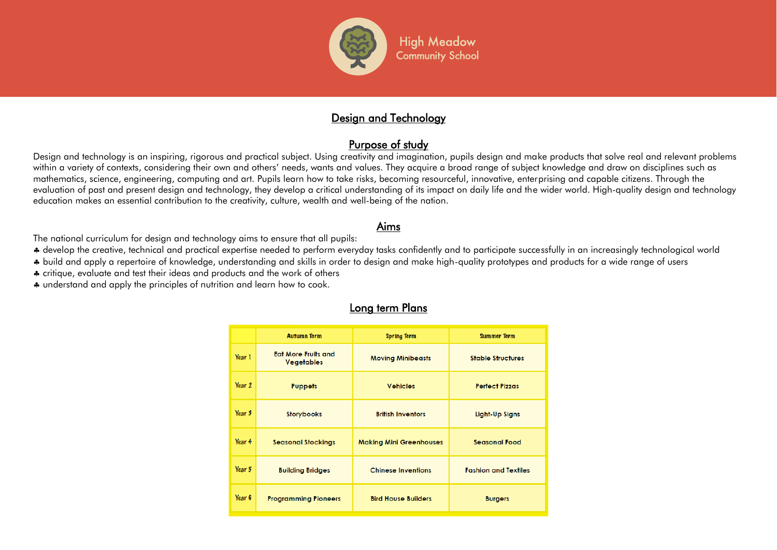

## Design and Technology

## Purpose of study

Design and technology is an inspiring, rigorous and practical subject. Using creativity and imagination, pupils design and make products that solve real and relevant problems within a variety of contexts, considering their own and others' needs, wants and values. They acquire a broad range of subject knowledge and draw on disciplines such as mathematics, science, engineering, computing and art. Pupils learn how to take risks, becoming resourceful, innovative, enterprising and capable citizens. Through the evaluation of past and present design and technology, they develop a critical understanding of its impact on daily life and the wider world. High-quality design and technology education makes an essential contribution to the creativity, culture, wealth and well-being of the nation.

## Aims

The national curriculum for design and technology aims to ensure that all pupils:

develop the creative, technical and practical expertise needed to perform everyday tasks confidently and to participate successfully in an increasingly technological world

build and apply a repertoire of knowledge, understanding and skills in order to design and make high-quality prototypes and products for a wide range of users

\* critique, evaluate and test their ideas and products and the work of others

 $\clubsuit$  understand and apply the principles of nutrition and learn how to cook.

|        | <b>Autumn Term</b>                              | <b>Spring Term</b>             | <b>Summer Term</b>          |
|--------|-------------------------------------------------|--------------------------------|-----------------------------|
| Year 1 | <b>Eat More Fruits and</b><br><b>Vegetables</b> | <b>Moving Minibeasts</b>       | <b>Stable Structures</b>    |
| Year 2 | <b>Puppets</b>                                  | <b>Vehicles</b>                | <b>Perfect Pizzas</b>       |
| Year 3 | <b>Storybooks</b>                               | <b>British Inventors</b>       | <b>Light-Up Signs</b>       |
| Year 4 | <b>Seasonal Stockings</b>                       | <b>Making Mini Greenhouses</b> | <b>Seasonal Food</b>        |
| Year 5 | <b>Building Bridges</b>                         | <b>Chinese Inventions</b>      | <b>Fashion and Textiles</b> |
| Year 6 | <b>Programming Pioneers</b>                     | <b>Bird House Builders</b>     | <b>Burgers</b>              |

#### Long term Plans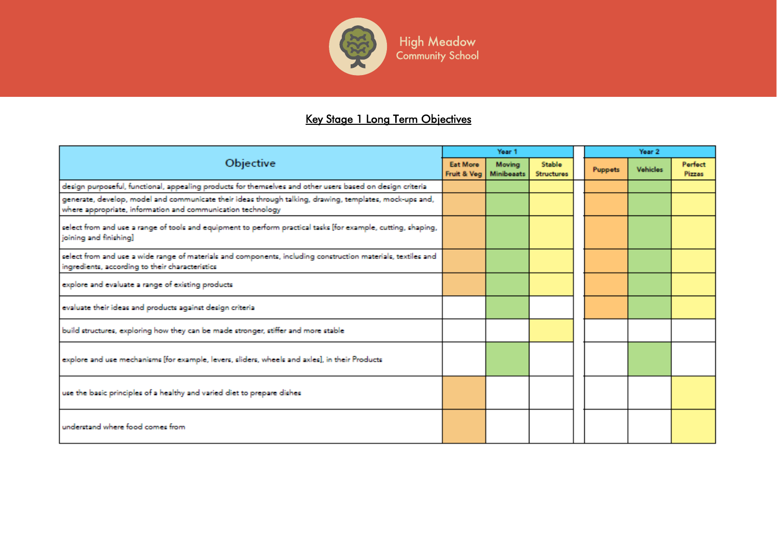

High Meadow<br>Community School

# Key Stage 1 Long Term Objectives

| Objective                                                                                                                                                              |  | Year 1                              |                                    |  | Year <sub>2</sub> |                 |                          |  |
|------------------------------------------------------------------------------------------------------------------------------------------------------------------------|--|-------------------------------------|------------------------------------|--|-------------------|-----------------|--------------------------|--|
|                                                                                                                                                                        |  | Moving<br>Fruit & Veg<br>Minibeaats | <b>Stable</b><br><b>Structures</b> |  | <b>Puppets</b>    | <b>Vehicles</b> | Perfect<br><b>Pizzas</b> |  |
| design purposeful, functional, appealing products for themselves and other users based on design criteria                                                              |  |                                     |                                    |  |                   |                 |                          |  |
| generate, develop, model and communicate their ideas through talking, drawing, templates, mock-ups and,<br>where appropriate, information and communication technology |  |                                     |                                    |  |                   |                 |                          |  |
| select from and use a range of tools and equipment to perform practical tasks [for example, cutting, shaping,<br>joining and finishing]                                |  |                                     |                                    |  |                   |                 |                          |  |
| select from and use a wide range of materials and components, including construction materials, textiles and<br>ingredients, according to their characteristics        |  |                                     |                                    |  |                   |                 |                          |  |
| explore and evaluate a range of existing products                                                                                                                      |  |                                     |                                    |  |                   |                 |                          |  |
| evaluate their ideas and products against design criterial                                                                                                             |  |                                     |                                    |  |                   |                 |                          |  |
| build structures, exploring how they can be made stronger, stiffer and more stable                                                                                     |  |                                     |                                    |  |                   |                 |                          |  |
| explore and use mechanisms [for example, levers, sliders, wheels and axles], in their Products                                                                         |  |                                     |                                    |  |                   |                 |                          |  |
| use the basic principles of a healthy and varied diet to prepare dishes                                                                                                |  |                                     |                                    |  |                   |                 |                          |  |
| understand where food comes from                                                                                                                                       |  |                                     |                                    |  |                   |                 |                          |  |